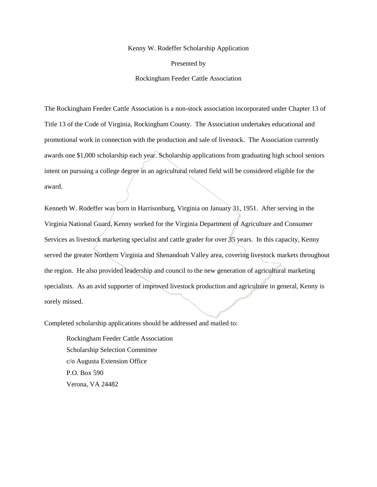## Kenny W. Rodeffer Scholarship Application

Presented by

Rockingham Feeder Cattle Association

The Rockingham Feeder Cattle Association is a non-stock association incorporated under Chapter 13 of Title 13 of the Code of Virginia, Rockingham County. The Association undertakes educational and promotional work in connection with the production and sale of livestock. The Association currently awards one \$1,000 scholarship each year. Scholarship applications from graduating high school seniors intent on pursuing a college degree in an agricultural related field will be considered eligible for the award.

Kenneth W. Rodeffer was born in Harrisonburg, Virginia on January 31, 1951. After serving in the Virginia National Guard, Kenny worked for the Virginia Department of Agriculture and Consumer Services as livestock marketing specialist and cattle grader for over  $\frac{3}{5}$  years. In this capacity, Kenny served the greater Northern Virginia and Shenandoah Valley area, covering livestock markets throughout the region. He also provided leadership and council to the new generation of agricultural marketing specialists. As an avid supporter of improved livestock production and agriculture in general, Kenny is sorely missed.

Completed scholarship applications should be addressed and mailed to:

Rockingham Feeder Cattle Association Scholarship Selection Committee c/o Augusta Extension Office P.O. Box 590 Verona, VA 24482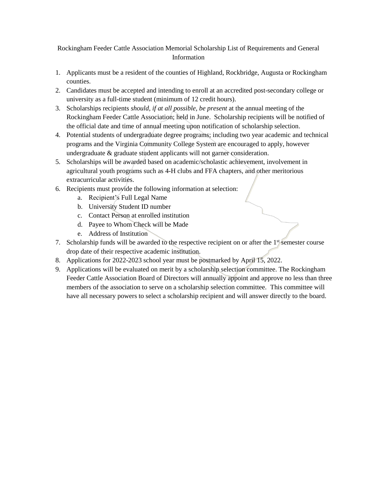## Rockingham Feeder Cattle Association Memorial Scholarship List of Requirements and General Information

- 1. Applicants must be a resident of the counties of Highland, Rockbridge, Augusta or Rockingham counties.
- 2. Candidates must be accepted and intending to enroll at an accredited post-secondary college or university as a full-time student (minimum of 12 credit hours).
- 3. Scholarships recipients *should, if at all possible, be present* at the annual meeting of the Rockingham Feeder Cattle Association; held in June. Scholarship recipients will be notified of the official date and time of annual meeting upon notification of scholarship selection.
- 4. Potential students of undergraduate degree programs; including two year academic and technical programs and the Virginia Community College System are encouraged to apply, however undergraduate & graduate student applicants will not garner consideration.
- 5. Scholarships will be awarded based on academic/scholastic achievement, involvement in agricultural youth programs such as 4-H clubs and FFA chapters, and other meritorious extracurricular activities.
- 6. Recipients must provide the following information at selection:
	- a. Recipient's Full Legal Name
	- b. University Student ID number
	- c. Contact Person at enrolled institution
	- d. Payee to Whom Check will be Made
	- e. Address of Institution
- 7. Scholarship funds will be awarded to the respective recipient on or after the  $1<sup>st</sup>$  semester course drop date of their respective academic institution.
- 8. Applications for 2022-2023 school year must be postmarked by April 15, 2022.
- 9. Applications will be evaluated on merit by a scholarship selection committee. The Rockingham Feeder Cattle Association Board of Directors will annually appoint and approve no less than three members of the association to serve on a scholarship selection committee. This committee will have all necessary powers to select a scholarship recipient and will answer directly to the board.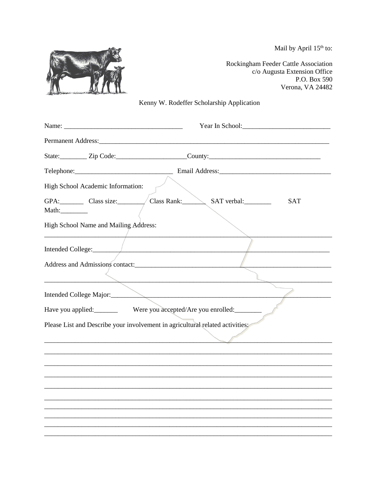Mail by April 15<sup>th</sup> to:



Rockingham Feeder Cattle Association c/o Augusta Extension Office P.O. Box 590 Verona, VA 24482

## Kenny W. Rodeffer Scholarship Application

|                                       | Year In School: 2008                                                          |
|---------------------------------------|-------------------------------------------------------------------------------|
|                                       |                                                                               |
|                                       |                                                                               |
|                                       |                                                                               |
| High School Academic Information:     |                                                                               |
| GPA: Class size:                      | Class Rank: SAT verbal:<br><b>SAT</b>                                         |
| High School Name and Mailing Address: |                                                                               |
| Intended College:                     |                                                                               |
| Address and Admissions contact:       |                                                                               |
|                                       | Intended College Major:                                                       |
|                                       | Have you applied: Were you accepted/Are you enrolled: ________                |
|                                       | Please List and Describe your involvement in agricultural related activities: |
|                                       |                                                                               |
|                                       |                                                                               |
|                                       |                                                                               |
|                                       |                                                                               |
|                                       |                                                                               |
|                                       |                                                                               |
|                                       |                                                                               |
|                                       |                                                                               |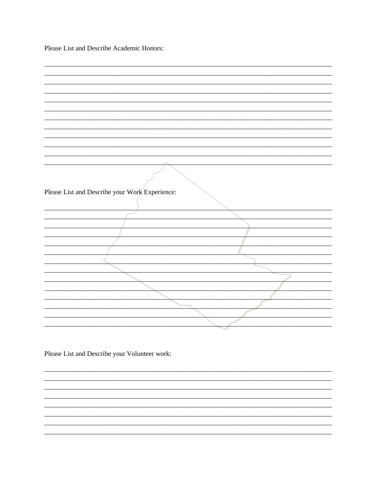Please List and Describe Academic Honors:

| Please List and Describe your Work Experience: |  |
|------------------------------------------------|--|
|                                                |  |
|                                                |  |
|                                                |  |
|                                                |  |
|                                                |  |
|                                                |  |
|                                                |  |
|                                                |  |
|                                                |  |
|                                                |  |
|                                                |  |
|                                                |  |
|                                                |  |
|                                                |  |
|                                                |  |
|                                                |  |

<u> 1989 - Johann Stoff, deutscher Stoff, der Stoff, der Stoff, der Stoff, der Stoff, der Stoff, der Stoff, der S</u>

<u> 1989 - Jan James James James James James James James James James James James James James James James James</u>

Please List and Describe your Volunteer work: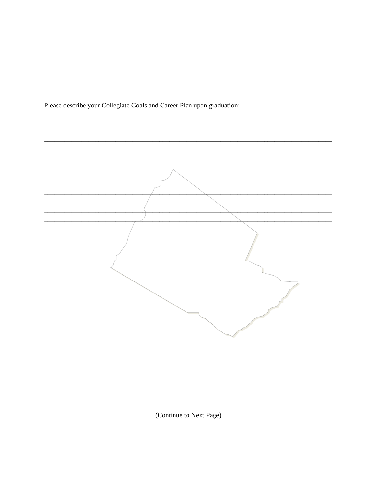Please describe your Collegiate Goals and Career Plan upon graduation:



(Continue to Next Page)